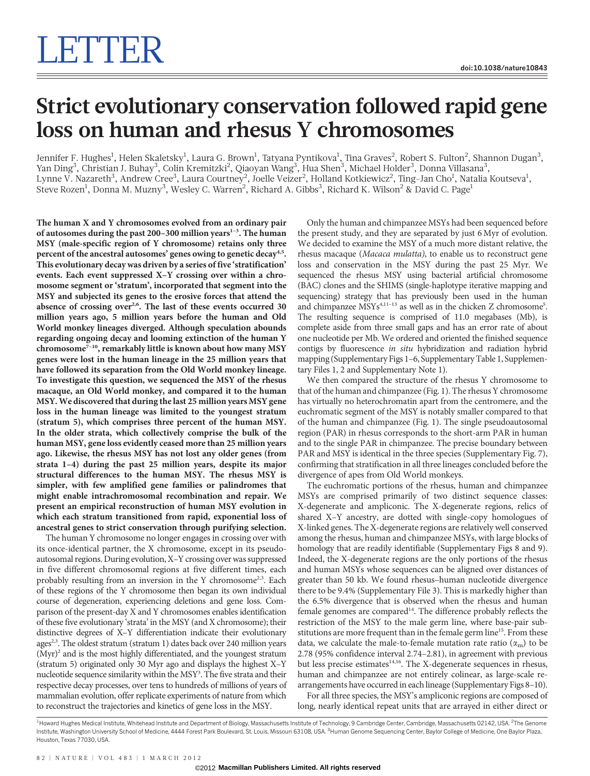# Strict evolutionary conservation followed rapid gene loss on human and rhesus Y chromosomes

Jennifer F. Hughes $^{\rm l}$ , Helen Skaletsky $^{\rm l}$ , Laura G. Brown $^{\rm l}$ , Tatyana Pyntikova $^{\rm l}$ , Tina Graves $^{\rm 2}$ , Robert S. Fulton $^{\rm 2}$ , Shannon Dugan $^{\rm 3}$ , Yan Ding<sup>3</sup>, Christian J. Buhay<sup>3</sup>, Colin Kremitzki<sup>2</sup>, Qiaoyan Wang<sup>3</sup>, Hua Shen<sup>3</sup>, Michael Holder<sup>3</sup>, Donna Villasana<sup>3</sup>, Lynne V. Nazareth $^3$ , Andrew Cree $^3$ , Laura Courtney $^2$ , Joelle Veizer $^2$ , Holland Kotkiewicz $^2$ , Ting-Jan Cho $^1$ , Natalia Koutseva $^1$ , Steve Rozen<sup>1</sup>, Donna M. Muzny<sup>3</sup>, Wesley C. Warren<sup>2</sup>, Richard A. Gibbs<sup>3</sup>, Richard K. Wilson<sup>2</sup> & David C. Page<sup>1</sup>

The human X and Y chromosomes evolved from an ordinary pair of autosomes during the past 200-300 million years<sup>1-3</sup>. The human MSY (male-specific region of Y chromosome) retains only three percent of the ancestral autosomes' genes owing to genetic decay<sup>4,5</sup>. This evolutionary decay was driven by a series of five 'stratification' events. Each event suppressed X–Y crossing over within a chromosome segment or 'stratum', incorporated that segment into the MSY and subjected its genes to the erosive forces that attend the absence of crossing over<sup>2,6</sup>. The last of these events occurred 30 million years ago, 5 million years before the human and Old World monkey lineages diverged. Although speculation abounds regarding ongoing decay and looming extinction of the human Y chromosome<sup>7-10</sup>, remarkably little is known about how many MSY genes were lost in the human lineage in the 25 million years that have followed its separation from the Old World monkey lineage. To investigate this question, we sequenced the MSY of the rhesus macaque, an Old World monkey, and compared it to the human MSY. We discovered that during the last 25 million years MSY gene loss in the human lineage was limited to the youngest stratum (stratum 5), which comprises three percent of the human MSY. In the older strata, which collectively comprise the bulk of the human MSY, gene loss evidently ceased more than 25 million years ago. Likewise, the rhesus MSY has not lost any older genes (from strata 1–4) during the past 25 million years, despite its major structural differences to the human MSY. The rhesus MSY is simpler, with few amplified gene families or palindromes that might enable intrachromosomal recombination and repair. We present an empirical reconstruction of human MSY evolution in which each stratum transitioned from rapid, exponential loss of ancestral genes to strict conservation through purifying selection.

The human Y chromosome no longer engages in crossing over with its once-identical partner, the X chromosome, except in its pseudoautosomal regions. During evolution, X–Y crossing over was suppressed in five different chromosomal regions at five different times, each probably resulting from an inversion in the Y chromosome<sup>2,3</sup>. Each of these regions of the Y chromosome then began its own individual course of degeneration, experiencing deletions and gene loss. Comparison of the present-day X and Y chromosomes enables identification of these five evolutionary 'strata' in the MSY (and X chromosome); their distinctive degrees of X–Y differentiation indicate their evolutionary ages<sup>2,3</sup>. The oldest stratum (stratum 1) dates back over 240 million years  $(Myr)^2$  and is the most highly differentiated, and the youngest stratum (stratum 5) originated only 30 Myr ago and displays the highest X–Y nucleotide sequence similarity within the MSY<sup>3</sup>. The five strata and their respective decay processes, over tens to hundreds of millions of years of mammalian evolution, offer replicate experiments of nature from which to reconstruct the trajectories and kinetics of gene loss in the MSY.

Only the human and chimpanzee MSYs had been sequenced before the present study, and they are separated by just 6 Myr of evolution. We decided to examine the MSY of a much more distant relative, the rhesus macaque (Macaca mulatta), to enable us to reconstruct gene loss and conservation in the MSY during the past 25 Myr. We sequenced the rhesus MSY using bacterial artificial chromosome (BAC) clones and the SHIMS (single-haplotype iterative mapping and sequencing) strategy that has previously been used in the human and chimpanzee MSYs<sup>4,11-13</sup> as well as in the chicken Z chromosome<sup>5</sup>. The resulting sequence is comprised of 11.0 megabases (Mb), is complete aside from three small gaps and has an error rate of about one nucleotide per Mb. We ordered and oriented the finished sequence contigs by fluorescence in situ hybridization and radiation hybrid mapping (Supplementary Figs 1–6, Supplementary Table 1, Supplementary Files 1, 2 and Supplementary Note 1).

We then compared the structure of the rhesus Y chromosome to that of the human and chimpanzee (Fig. 1). The rhesus Y chromosome has virtually no heterochromatin apart from the centromere, and the euchromatic segment of the MSY is notably smaller compared to that of the human and chimpanzee (Fig. 1). The single pseudoautosomal region (PAR) in rhesus corresponds to the short-arm PAR in human and to the single PAR in chimpanzee. The precise boundary between PAR and MSY is identical in the three species (Supplementary Fig. 7), confirming that stratification in all three lineages concluded before the divergence of apes from Old World monkeys.

The euchromatic portions of the rhesus, human and chimpanzee MSYs are comprised primarily of two distinct sequence classes: X-degenerate and ampliconic. The X-degenerate regions, relics of shared X–Y ancestry, are dotted with single-copy homologues of X-linked genes. The X-degenerate regions are relatively well conserved among the rhesus, human and chimpanzee MSYs, with large blocks of homology that are readily identifiable (Supplementary Figs 8 and 9). Indeed, the X-degenerate regions are the only portions of the rhesus and human MSYs whose sequences can be aligned over distances of greater than 50 kb. We found rhesus–human nucleotide divergence there to be 9.4% (Supplementary File 3). This is markedly higher than the 6.5% divergence that is observed when the rhesus and human female genomes are compared<sup>14</sup>. The difference probably reflects the restriction of the MSY to the male germ line, where base-pair substitutions are more frequent than in the female germ line<sup>15</sup>. From these data, we calculate the male-to-female mutation rate ratio  $(\alpha_{\rm m})$  to be 2.78 (95% confidence interval 2.74–2.81), in agreement with previous but less precise estimates<sup>14,16</sup>. The X-degenerate sequences in rhesus, human and chimpanzee are not entirely colinear, as large-scale rearrangements have occurred in each lineage (Supplementary Figs 8–10).

For all three species, the MSY's ampliconic regions are composed of long, nearly identical repeat units that are arrayed in either direct or

<sup>1</sup>Howard Hughes Medical Institute, Whitehead Institute and Department of Biology, Massachusetts Institute of Technology, 9 Cambridge Center, Cambridge, Massachusetts 02142, USA. <sup>2</sup>The Genome Institute, Washington University School of Medicine, 4444 Forest Park Boulevard, St. Louis, Missouri 63108, USA. <sup>3</sup>Human Genome Sequencing Center, Baylor College of Medicine, One Baylor Plaza, Houston, Texas 77030, USA.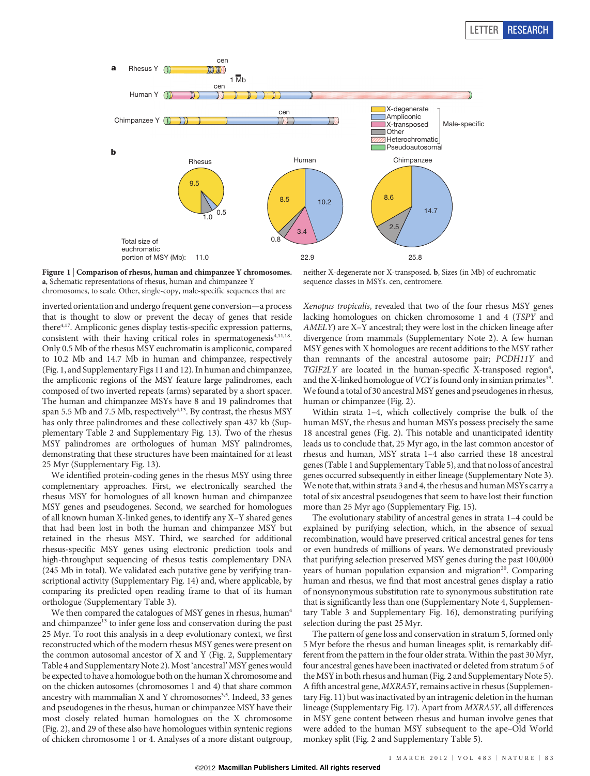



neither X-degenerate nor X-transposed. b, Sizes (in Mb) of euchromatic sequence classes in MSYs. cen, centromere.

chromosomes, to scale. Other, single-copy, male-specific sequences that are

inverted orientation and undergo frequent gene conversion—a process that is thought to slow or prevent the decay of genes that reside there<sup>4,17</sup>. Ampliconic genes display testis-specific expression patterns, consistent with their having critical roles in spermatogenesis<sup>4,11,18</sup>. Only 0.5 Mb of the rhesus MSY euchromatin is ampliconic, compared to 10.2 Mb and 14.7 Mb in human and chimpanzee, respectively (Fig. 1, and Supplementary Figs 11 and 12). In human and chimpanzee, the ampliconic regions of the MSY feature large palindromes, each composed of two inverted repeats (arms) separated by a short spacer. The human and chimpanzee MSYs have 8 and 19 palindromes that span 5.5 Mb and 7.5 Mb, respectively<sup>4,13</sup>. By contrast, the rhesus MSY has only three palindromes and these collectively span 437 kb (Supplementary Table 2 and Supplementary Fig. 13). Two of the rhesus MSY palindromes are orthologues of human MSY palindromes, demonstrating that these structures have been maintained for at least 25 Myr (Supplementary Fig. 13).

We identified protein-coding genes in the rhesus MSY using three complementary approaches. First, we electronically searched the rhesus MSY for homologues of all known human and chimpanzee MSY genes and pseudogenes. Second, we searched for homologues of all known human X-linked genes, to identify any X–Y shared genes that had been lost in both the human and chimpanzee MSY but retained in the rhesus MSY. Third, we searched for additional rhesus-specific MSY genes using electronic prediction tools and high-throughput sequencing of rhesus testis complementary DNA (245 Mb in total). We validated each putative gene by verifying transcriptional activity (Supplementary Fig. 14) and, where applicable, by comparing its predicted open reading frame to that of its human orthologue (Supplementary Table 3).

We then compared the catalogues of MSY genes in rhesus, human<sup>4</sup> and chimpanzee<sup>13</sup> to infer gene loss and conservation during the past 25 Myr. To root this analysis in a deep evolutionary context, we first reconstructed which of the modern rhesus MSY genes were present on the common autosomal ancestor of X and Y (Fig. 2, Supplementary Table 4 and Supplementary Note 2). Most 'ancestral' MSY genes would be expected to have a homologue both on the human X chromosome and on the chicken autosomes (chromosomes 1 and 4) that share common ancestry with mammalian  $X$  and  $Y$  chromosomes<sup>3,5</sup>. Indeed, 33 genes and pseudogenes in the rhesus, human or chimpanzee MSY have their most closely related human homologues on the X chromosome (Fig. 2), and 29 of these also have homologues within syntenic regions of chicken chromosome 1 or 4. Analyses of a more distant outgroup,

Xenopus tropicalis, revealed that two of the four rhesus MSY genes lacking homologues on chicken chromosome 1 and 4 (TSPY and AMELY) are X–Y ancestral; they were lost in the chicken lineage after divergence from mammals (Supplementary Note 2). A few human MSY genes with X homologues are recent additions to the MSY rather than remnants of the ancestral autosome pair; PCDH11Y and TGIF2LY are located in the human-specific X-transposed region<sup>4</sup>, and the X-linked homologue of  $VCY$  is found only in simian primates<sup>19</sup>. We found a total of 30 ancestral MSY genes and pseudogenes in rhesus, human or chimpanzee (Fig. 2).

Within strata 1–4, which collectively comprise the bulk of the human MSY, the rhesus and human MSYs possess precisely the same 18 ancestral genes (Fig. 2). This notable and unanticipated identity leads us to conclude that, 25 Myr ago, in the last common ancestor of rhesus and human, MSY strata 1–4 also carried these 18 ancestral genes (Table 1 and Supplementary Table 5), and that no loss of ancestral genes occurred subsequently in either lineage (Supplementary Note 3). We note that, within strata 3 and 4, the rhesus and human MSYs carry a total of six ancestral pseudogenes that seem to have lost their function more than 25 Myr ago (Supplementary Fig. 15).

The evolutionary stability of ancestral genes in strata 1–4 could be explained by purifying selection, which, in the absence of sexual recombination, would have preserved critical ancestral genes for tens or even hundreds of millions of years. We demonstrated previously that purifying selection preserved MSY genes during the past 100,000 years of human population expansion and migration<sup>20</sup>. Comparing human and rhesus, we find that most ancestral genes display a ratio of nonsynonymous substitution rate to synonymous substitution rate that is significantly less than one (Supplementary Note 4, Supplementary Table 3 and Supplementary Fig. 16), demonstrating purifying selection during the past 25 Myr.

The pattern of gene loss and conservation in stratum 5, formed only 5 Myr before the rhesus and human lineages split, is remarkably different from the pattern in the four older strata. Within the past 30 Myr, four ancestral genes have been inactivated or deleted from stratum 5 of theMSY in both rhesus and human (Fig. 2 and Supplementary Note 5). A fifth ancestral gene, MXRA5Y, remains active in rhesus (Supplementary Fig. 11) but was inactivated by an intragenic deletion in the human lineage (Supplementary Fig. 17). Apart from MXRA5Y, all differences in MSY gene content between rhesus and human involve genes that were added to the human MSY subsequent to the ape–Old World monkey split (Fig. 2 and Supplementary Table 5).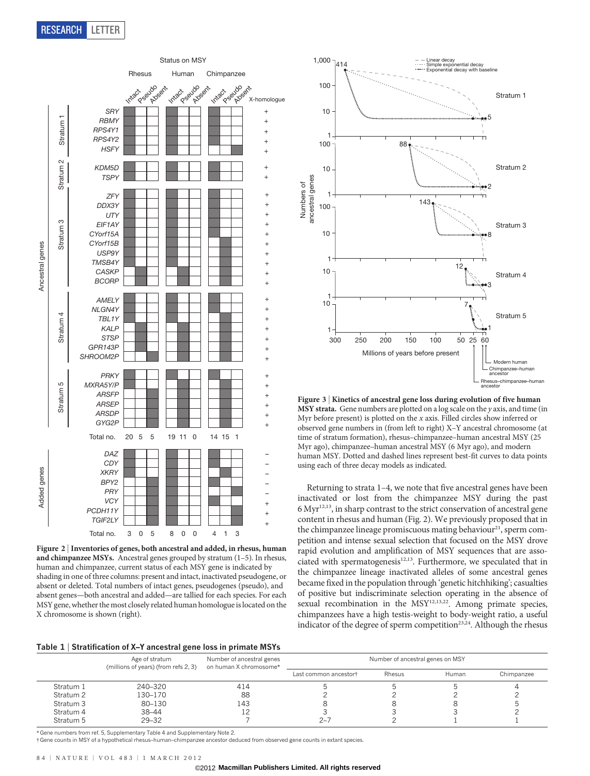

Figure 2 | Inventories of genes, both ancestral and added, in rhesus, human and chimpanzee MSYs. Ancestral genes grouped by stratum (1–5). In rhesus, human and chimpanzee, current status of each MSY gene is indicated by shading in one of three columns: present and intact, inactivated pseudogene, or absent or deleted. Total numbers of intact genes, pseudogenes (pseudo), and absent genes—both ancestral and added—are tallied for each species. For each MSY gene, whether the most closely related human homologue is located on the X chromosome is shown (right).



Figure 3 <sup>|</sup> Kinetics of ancestral gene loss during evolution of five human MSY strata. Gene numbers are plotted on a log scale on the y axis, and time (in Myr before present) is plotted on the  $x$  axis. Filled circles show inferred or observed gene numbers in (from left to right) X–Y ancestral chromosome (at time of stratum formation), rhesus–chimpanzee–human ancestral MSY (25 Myr ago), chimpanzee–human ancestral MSY (6 Myr ago), and modern human MSY. Dotted and dashed lines represent best-fit curves to data points using each of three decay models as indicated.

Returning to strata 1–4, we note that five ancestral genes have been inactivated or lost from the chimpanzee MSY during the past  $6$  Myr<sup>12,13</sup>, in sharp contrast to the strict conservation of ancestral gene content in rhesus and human (Fig. 2). We previously proposed that in the chimpanzee lineage promiscuous mating behaviour<sup>21</sup>, sperm competition and intense sexual selection that focused on the MSY drove rapid evolution and amplification of MSY sequences that are associated with spermatogenesis<sup>12,13</sup>. Furthermore, we speculated that in the chimpanzee lineage inactivated alleles of some ancestral genes became fixed in the population through 'genetic hitchhiking'; casualties of positive but indiscriminate selection operating in the absence of sexual recombination in the MSY<sup>12,13,22</sup>. Among primate species, chimpanzees have a high testis-weight to body-weight ratio, a useful indicator of the degree of sperm competition<sup>23,24</sup>. Although the rhesus

#### Table 1 <sup>|</sup> Stratification of X–Y ancestral gene loss in primate MSYs

|           | Age of stratum<br>(millions of years) (from refs 2, 3) | Number of ancestral genes<br>on human X chromosome* | Number of ancestral genes on MSY |        |       |            |
|-----------|--------------------------------------------------------|-----------------------------------------------------|----------------------------------|--------|-------|------------|
|           |                                                        |                                                     | Last common ancestor†            | Rhesus | Human | Chimpanzee |
| Stratum 1 | 240-320                                                | 414                                                 |                                  |        |       |            |
| Stratum 2 | 130-170                                                | 88                                                  |                                  |        |       |            |
| Stratum 3 | 80-130                                                 | 143                                                 |                                  |        |       |            |
| Stratum 4 | 38–44                                                  |                                                     |                                  |        |       |            |
| Stratum 5 | $29 - 32$                                              |                                                     | $2 - 7$                          |        |       |            |

\* Gene numbers from ref. 5, Supplementary Table 4 and Supplementary Note 2.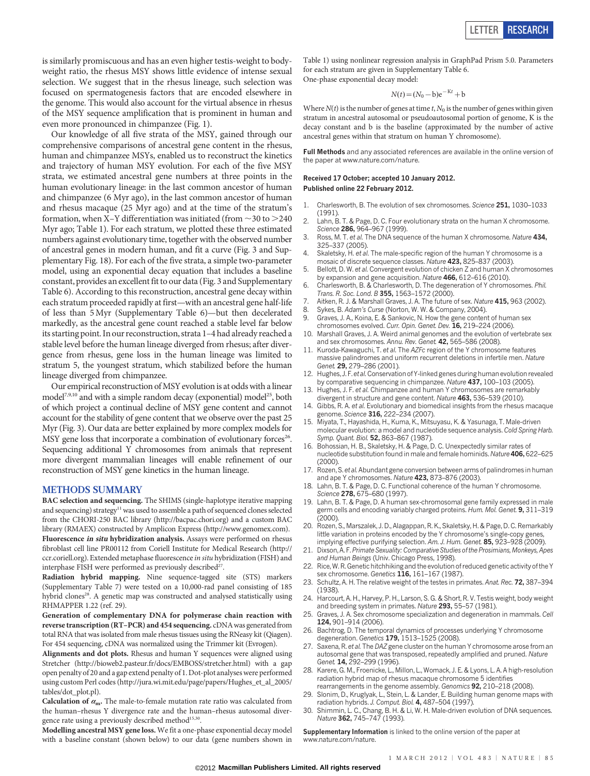is similarly promiscuous and has an even higher testis-weight to bodyweight ratio, the rhesus MSY shows little evidence of intense sexual selection. We suggest that in the rhesus lineage, such selection was focused on spermatogenesis factors that are encoded elsewhere in the genome. This would also account for the virtual absence in rhesus of the MSY sequence amplification that is prominent in human and even more pronounced in chimpanzee (Fig. 1).

Our knowledge of all five strata of the MSY, gained through our comprehensive comparisons of ancestral gene content in the rhesus, human and chimpanzee MSYs, enabled us to reconstruct the kinetics and trajectory of human MSY evolution. For each of the five MSY strata, we estimated ancestral gene numbers at three points in the human evolutionary lineage: in the last common ancestor of human and chimpanzee (6 Myr ago), in the last common ancestor of human and rhesus macaque (25 Myr ago) and at the time of the stratum's formation, when X–Y differentiation was initiated (from  $\sim$  30 to  $>$  240 Myr ago; Table 1). For each stratum, we plotted these three estimated numbers against evolutionary time, together with the observed number of ancestral genes in modern human, and fit a curve (Fig. 3 and Supplementary Fig. 18). For each of the five strata, a simple two-parameter model, using an exponential decay equation that includes a baseline constant, provides an excellent fit to our data (Fig. 3 and Supplementary Table 6). According to this reconstruction, ancestral gene decay within each stratum proceeded rapidly at first—with an ancestral gene half-life of less than 5 Myr (Supplementary Table 6)—but then decelerated markedly, as the ancestral gene count reached a stable level far below its starting point. In our reconstruction, strata 1–4 had already reached a stable level before the human lineage diverged from rhesus; after divergence from rhesus, gene loss in the human lineage was limited to stratum 5, the youngest stratum, which stabilized before the human lineage diverged from chimpanzee.

Our empirical reconstruction ofMSY evolution is at odds with a linear model<sup>7,9,10</sup> and with a simple random decay (exponential) model<sup>25</sup>, both of which project a continual decline of MSY gene content and cannot account for the stability of gene content that we observe over the past 25 Myr (Fig. 3). Our data are better explained by more complex models for MSY gene loss that incorporate a combination of evolutionary forces<sup>26</sup>. Sequencing additional Y chromosomes from animals that represent more divergent mammalian lineages will enable refinement of our reconstruction of MSY gene kinetics in the human lineage.

### METHODS SUMMARY

BAC selection and sequencing. The SHIMS (single-haplotype iterative mapping and sequencing) strategy<sup>11</sup> was used to assemble a path of sequenced clones selected from the CHORI-250 BAC library (<http://bacpac.chori.org>) and a custom BAC library (RMAEX) constructed by Amplicon Express [\(http://www.genomex.com](http://www.genomex.com)).

Fluorescence in situ hybridization analysis. Assays were performed on rhesus fibroblast cell line PR00112 from Coriell Institute for Medical Research ([http://](http://ccr.coriell.org) [ccr.coriell.org](http://ccr.coriell.org)). Extended metaphase fluorescence in situ hybridization (FISH) and interphase FISH were performed as previously described<sup>27</sup>.

Radiation hybrid mapping. Nine sequence-tagged site (STS) markers (Supplementary Table 7) were tested on a 10,000-rad panel consisting of 185 hybrid clones<sup>28</sup>. A genetic map was constructed and analysed statistically using RHMAPPER 1.22 (ref. 29).

Generation of complementary DNA for polymerase chain reaction with reverse transcription (RT-PCR) and 454 sequencing. cDNA was generated from total RNA that was isolated from male rhesus tissues using the RNeasy kit (Qiagen). For 454 sequencing, cDNA was normalized using the Trimmer kit (Evrogen).

Alignments and dot plots. Rhesus and human Y sequences were aligned using Stretcher (<http://bioweb2.pasteur.fr/docs/EMBOSS/stretcher.html>) with a gap open penalty of 20 and a gap extend penalty of 1. Dot-plot analyses were performed using custom Perl codes ([http://jura.wi.mit.edu/page/papers/Hughes\\_et\\_al\\_2005/](http://jura.wi.mit.edu/page/papers/Hughes_et_al_2005/tables/dot_plot.pl) [tables/dot\\_plot.pl](http://jura.wi.mit.edu/page/papers/Hughes_et_al_2005/tables/dot_plot.pl)).

Calculation of  $\alpha_{\rm m}$ . The male-to-female mutation rate ratio was calculated from the human–rhesus Y divergence rate and the human–rhesus autosomal divergence rate using a previously described method<sup>15,30</sup>.

Modelling ancestral MSY gene loss. We fit a one-phase exponential decay model with a baseline constant (shown below) to our data (gene numbers shown in Table 1) using nonlinear regression analysis in GraphPad Prism 5.0. Parameters for each stratum are given in Supplementary Table 6. One-phase exponential decay model:

$$
N(t) = (N_0 - b)e^{-Kt} + b
$$

Where  $N(t)$  is the number of genes at time t,  $N_0$  is the number of genes within given stratum in ancestral autosomal or pseudoautosomal portion of genome, K is the decay constant and b is the baseline (approximated by the number of active ancestral genes within that stratum on human Y chromosome).

Full Methods and any associated references are available in the online version of the paper at [www.nature.com/nature.](www.nature.com/nature)

### Received 17 October; accepted 10 January 2012. Published online 22 February 2012.

- 1. Charlesworth, B. The evolution of sex chromosomes. Science 251, 1030–1033  $(1991)$
- 2. Lahn, B. T. & Page, D. C. Four evolutionary strata on the human X chromosome. Science 286, 964-967 (1999).
- 3. Ross, M. T. et al. The DNA sequence of the human X chromosome. Nature 434, 325–337 (2005). Skaletsky, H. et al. The male-specific region of the human Y chromosome is a
- mosaic of discrete sequence classes. Nature 423, 825–837 (2003). 5. Bellott, D. W. et al. Convergent evolution of chicken Z and human X chromosomes
- by expansion and gene acquisition. Nature 466, 612–616 (2010).
- 6. Charlesworth, B. & Charlesworth, D. The degeneration of Y chromosomes. Phil. Trans. R. Soc. Lond. B 355, 1563-1572 (2000).
- 7. Aitken, R. J. & Marshall Graves, J. A. The future of sex. Nature 415, 963 (2002).
- Sykes, B. Adam's Curse (Norton, W. W. & Company, 2004).
- Graves, J. A., Koina, E. & Sankovic, N. How the gene content of human sex chromosomes evolved. Curr. Opin. Genet. Dev. 16, 219–224 (2006).
- 10. Marshall Graves, J. A. Weird animal genomes and the evolution of vertebrate sex and sex chromosomes. Annu. Rev. Genet. 42, 565–586 (2008).
- 11. Kuroda-Kawaguchi, T. et al. The AZFc region of the Y chromosome features massive palindromes and uniform recurrent deletions in infertile men. Nature Genet. 29. 279-286 (2001).
- 12. Hughes, J. F. et al.Conservation of Y-linked genes during human evolution revealed by comparative sequencing in chimpanzee. Nature 437, 100-103 (2005).
- 13. Hughes, J. F. et al. Chimpanzee and human Y chromosomes are remarkably divergent in structure and gene content. Nature 463, 536–539 (2010).
- 14. Gibbs, R. A. et al. Evolutionary and biomedical insights from the rhesus macaque genome. Science 316, 222–234 (2007).
- 15. Miyata, T., Hayashida, H., Kuma, K., Mitsuyasu, K. & Yasunaga, T. Male-driven molecular evolution: a model and nucleotide sequence analysis. Cold Spring Harb. Symp. Quant. Biol. 52, 863-867 (1987).
- 16. Bohossian, H. B., Skaletsky, H. & Page, D. C. Unexpectedly similar rates of nucleotide substitution found in male and female hominids. Nature 406, 622–625  $(2000)$
- 17. Rozen, S. et al. Abundant gene conversion between arms of palindromes in human and ape Y chromosomes. Nature 423, 873–876 (2003).
- 18. Lahn, B. T. & Page, D. C. Functional coherence of the human Y chromosome. Science 278, 675-680 (1997).
- 19. Lahn, B. T. & Page, D. A human sex-chromosomal gene family expressed in male germ cells and encoding variably charged proteins. Hum. Mol. Genet. 9, 311-319 (2000).
- 20. Rozen, S., Marszalek, J. D., Alagappan, R. K., Skaletsky, H. & Page, D. C. Remarkably little variation in proteins encoded by the Y chromosome's single-copy genes, implying effective purifying selection. Am. J. Hum. Genet. 85, 923-928 (2009)
- 21. Dixson, A. F.Primate Sexuality: Comparative Studies of the Prosimians, Monkeys, Apes and Human Beings (Univ. Chicago Press, 1998).
- 22. Rice, W. R. Genetic hitchhiking and the evolution of reduced genetic activity of the Y sex chromosome. Genetics 116, 161-167 (1987).
- 23. Schultz, A. H. The relative weight of the testes in primates. Anat. Rec. 72, 387-394 (1938).
- 24. Harcourt, A. H., Harvey, P. H., Larson, S. G. & Short, R. V. Testis weight, body weight and breeding system in primates. Nature 293, 55–57 (1981).
- 25. Graves, J. A. Sex chromosome specialization and degeneration in mammals. Cell 124, 901–914 (2006).
- 26. Bachtrog, D. The temporal dynamics of processes underlying Y chromosome degeneration. Genetics 179, 1513–1525 (2008).
- 27. Saxena, R. et al. The DAZ gene cluster on the human Y chromosome arose from an autosomal gene that was transposed, repeatedly amplified and pruned. Nature Genet. 14, 292-299 (1996).
- 28. Karere, G. M., Froenicke, L., Millon, L., Womack, J. E. & Lyons, L. A. A high-resolution radiation hybrid map of rhesus macaque chromosome 5 identifies rearrangements in the genome assembly. Genomics 92, 210-218 (2008).
- 29. Slonim, D., Kruglyak, L., Stein, L. & Lander, E. Building human genome maps with radiation hybrids. J. Comput. Biol. 4, 487–504 (1997).
- 30. Shimmin, L. C., Chang, B. H. & Li, W. H. Male-driven evolution of DNA sequences. Nature 362, 745–747 (1993).

Supplementary Information is linked to the online version of the paper at <www.nature.com/nature>.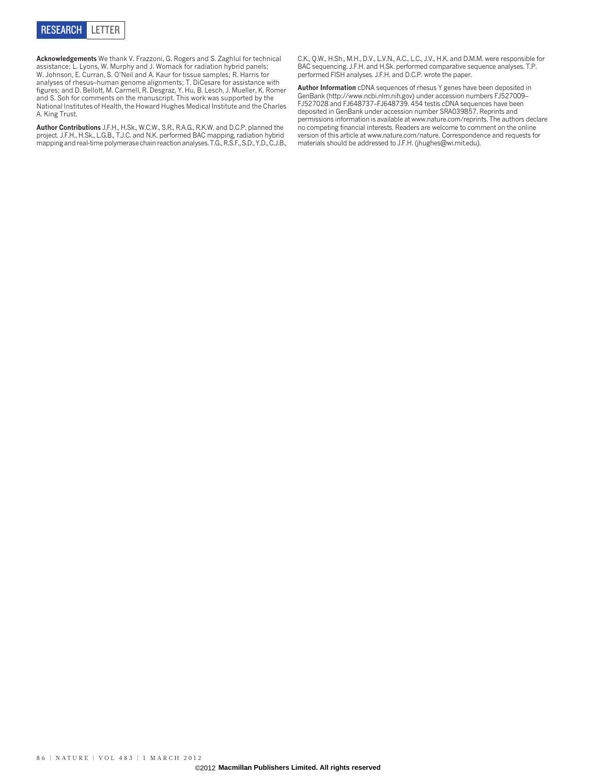

Acknowledgements We thank V. Frazzoni, G. Rogers and S. Zaghlul for technical assistance; L. Lyons, W. Murphy and J. Womack for radiation hybrid panels; W. Johnson, E. Curran, S. O'Neil and A. Kaur for tissue samples; R. Harris for analyses of rhesus–human genome alignments; T. DiCesare for assistance with figures; and D. Bellott, M. Carmell, R. Desgraz, Y. Hu, B. Lesch, J. Mueller, K. Romer and S. Soh for comments on the manuscript. This work was supported by the National Institutes of Health, the Howard Hughes Medical Institute and the Charles A. King Trust.

Author Contributions J.F.H., H.Sk., W.C.W., S.R., R.A.G., R.K.W. and D.C.P. planned the project. J.F.H., H.Sk., L.G.B., T.J.C. and N.K. performed BAC mapping, radiation hybrid mapping and real-time polymerase chain reaction analyses. T.G., R.S.F., S.D., Y.D., C.J.B., C.K., Q.W., H.Sh., M.H., D.V., L.V.N., A.C., L.C., J.V., H.K. and D.M.M. were responsible for BAC sequencing. J.F.H. and H.Sk. performed comparative sequence analyses. T.P. performed FISH analyses. J.F.H. and D.C.P. wrote the paper.

Author Information cDNA sequences of rhesus Y genes have been deposited in GenBank (<http://www.ncbi.nlm.nih.gov>) under accession numbers FJ527009– FJ527028 and FJ648737–FJ648739. 454 testis cDNA sequences have been deposited in GenBank under accession number SRA039857. Reprints and permissions information is available at<www.nature.com/reprints>. The authors declare no competing financial interests. Readers are welcome to comment on the online version of this article at [www.nature.com/nature.](www.nature.com/nature) Correspondence and requests for materials should be addressed to J.F.H. [\(jhughes@wi.mit.edu\).](mailto:jhughes@wi.mit.edu)